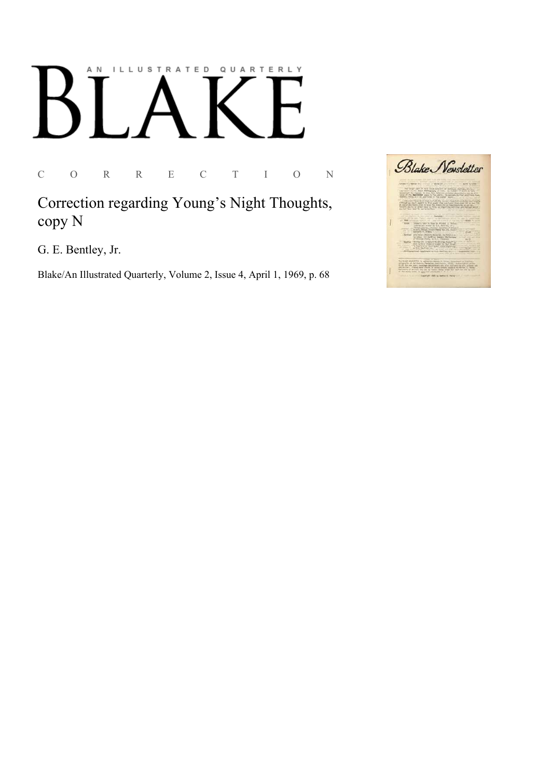## ILLUSTRATED QUARTERLY A N

C O R R E C T I O N

Correction regarding Young's Night Thoughts, copy N

G. E. Bentley, Jr.

Blake/An Illustrated Quarterly, Volume 2, Issue 4, April 1, 1969, p. 68